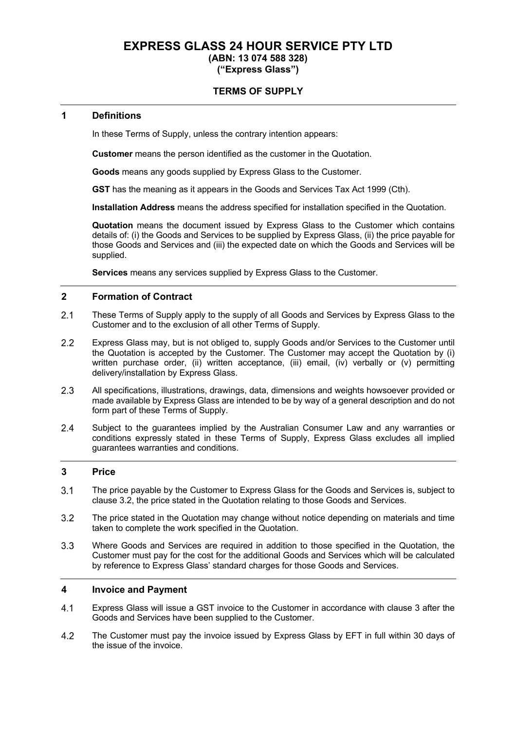# **EXPRESS GLASS 24 HOUR SERVICE PTY LTD**

# **(ABN: 13 074 588 328)**

**("Express Glass")**

### **TERMS OF SUPPLY**

#### **1 Definitions**

In these Terms of Supply, unless the contrary intention appears:

**Customer** means the person identified as the customer in the Quotation.

**Goods** means any goods supplied by Express Glass to the Customer.

**GST** has the meaning as it appears in the Goods and Services Tax Act 1999 (Cth).

**Installation Address** means the address specified for installation specified in the Quotation.

**Quotation** means the document issued by Express Glass to the Customer which contains details of: (i) the Goods and Services to be supplied by Express Glass, (ii) the price payable for those Goods and Services and (iii) the expected date on which the Goods and Services will be supplied.

**Services** means any services supplied by Express Glass to the Customer.

#### **2 Formation of Contract**

- $2.1$ These Terms of Supply apply to the supply of all Goods and Services by Express Glass to the Customer and to the exclusion of all other Terms of Supply.
- $2.2$ Express Glass may, but is not obliged to, supply Goods and/or Services to the Customer until the Quotation is accepted by the Customer. The Customer may accept the Quotation by (i) written purchase order, (ii) written acceptance, (iii) email, (iv) verbally or (v) permitting delivery/installation by Express Glass.
- $2.3$ All specifications, illustrations, drawings, data, dimensions and weights howsoever provided or made available by Express Glass are intended to be by way of a general description and do not form part of these Terms of Supply.
- $2.4$ Subject to the guarantees implied by the Australian Consumer Law and any warranties or conditions expressly stated in these Terms of Supply, Express Glass excludes all implied guarantees warranties and conditions.

### **3 Price**

- $3<sub>1</sub>$ The price payable by the Customer to Express Glass for the Goods and Services is, subject to clause 3.2, the price stated in the Quotation relating to those Goods and Services.
- $3.2$ The price stated in the Quotation may change without notice depending on materials and time taken to complete the work specified in the Quotation.
- $3.3$ Where Goods and Services are required in addition to those specified in the Quotation, the Customer must pay for the cost for the additional Goods and Services which will be calculated by reference to Express Glass' standard charges for those Goods and Services.

#### **4 Invoice and Payment**

- $4.1$ Express Glass will issue a GST invoice to the Customer in accordance with clause 3 after the Goods and Services have been supplied to the Customer.
- 4.2 The Customer must pay the invoice issued by Express Glass by EFT in full within 30 days of the issue of the invoice.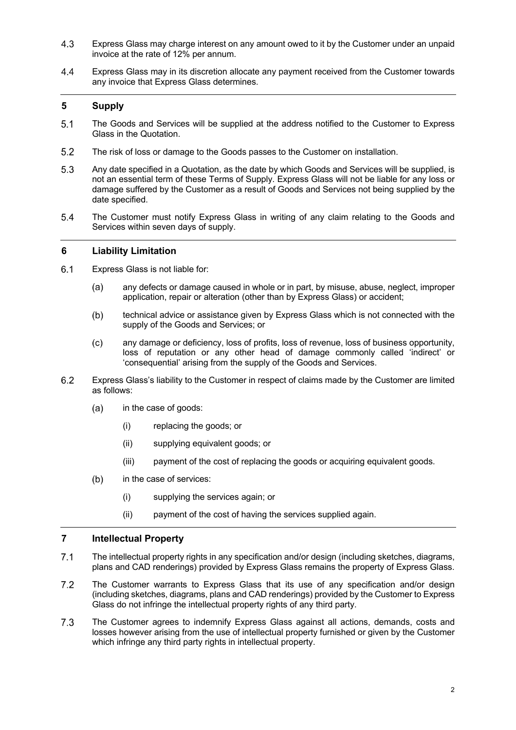- $4.3$ Express Glass may charge interest on any amount owed to it by the Customer under an unpaid invoice at the rate of 12% per annum.
- $4.4$ Express Glass may in its discretion allocate any payment received from the Customer towards any invoice that Express Glass determines.

#### **5 Supply**

- $5.1$ The Goods and Services will be supplied at the address notified to the Customer to Express Glass in the Quotation.
- $5.2$ The risk of loss or damage to the Goods passes to the Customer on installation.
- $5.3$ Any date specified in a Quotation, as the date by which Goods and Services will be supplied, is not an essential term of these Terms of Supply. Express Glass will not be liable for any loss or damage suffered by the Customer as a result of Goods and Services not being supplied by the date specified.
- $5.4$ The Customer must notify Express Glass in writing of any claim relating to the Goods and Services within seven days of supply.

#### **6 Liability Limitation**

- $6.1$ Express Glass is not liable for:
	- any defects or damage caused in whole or in part, by misuse, abuse, neglect, improper  $(a)$ application, repair or alteration (other than by Express Glass) or accident;
	- $(b)$ technical advice or assistance given by Express Glass which is not connected with the supply of the Goods and Services; or
	- $(c)$ any damage or deficiency, loss of profits, loss of revenue, loss of business opportunity, loss of reputation or any other head of damage commonly called 'indirect' or 'consequential' arising from the supply of the Goods and Services.
- $6.2$ Express Glass's liability to the Customer in respect of claims made by the Customer are limited as follows:
	- $(a)$ in the case of goods:
		- (i) replacing the goods; or
		- (ii) supplying equivalent goods; or
		- (iii) payment of the cost of replacing the goods or acquiring equivalent goods.
	- $(b)$ in the case of services:
		- (i) supplying the services again; or
		- (ii) payment of the cost of having the services supplied again.

#### **7 Intellectual Property**

- $7.1$ The intellectual property rights in any specification and/or design (including sketches, diagrams, plans and CAD renderings) provided by Express Glass remains the property of Express Glass.
- $7.2$ The Customer warrants to Express Glass that its use of any specification and/or design (including sketches, diagrams, plans and CAD renderings) provided by the Customer to Express Glass do not infringe the intellectual property rights of any third party.
- $7.3$ The Customer agrees to indemnify Express Glass against all actions, demands, costs and losses however arising from the use of intellectual property furnished or given by the Customer which infringe any third party rights in intellectual property.